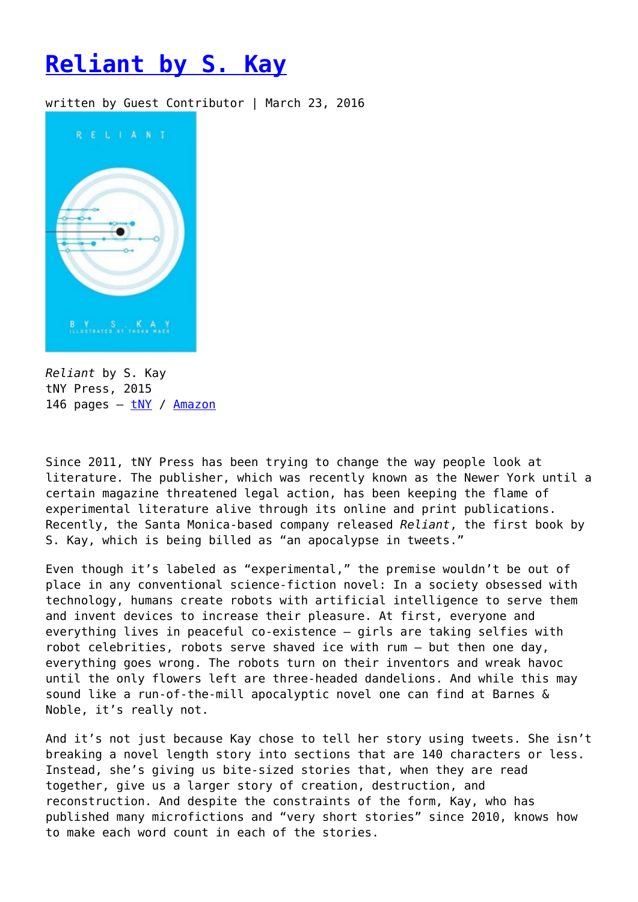## **[Reliant by S. Kay](https://entropymag.org/reliant-by-s-kay/)**

written by Guest Contributor | March 23, 2016



*Reliant* by S. Kay tNY Press, 2015 146 pages – [tNY](https://tny.press/reliant/) / [Amazon](http://www.amazon.com/Reliant-S-Kay/dp/0986231401/ref=sr_1_1?ie=UTF8&qid=1457971590&sr=8-1&keywords=reliant+s+kay)

Since 2011, tNY Press has been trying to change the way people look at literature. The publisher, which was recently known as the Newer York until a certain magazine threatened legal action, has been keeping the flame of experimental literature alive through its online and print publications. Recently, the Santa Monica-based company released *Reliant*, the first book by S. Kay, which is being billed as "an apocalypse in tweets."

Even though it's labeled as "experimental," the premise wouldn't be out of place in any conventional science-fiction novel: In a society obsessed with technology, humans create robots with artificial intelligence to serve them and invent devices to increase their pleasure. At first, everyone and everything lives in peaceful co-existence – girls are taking selfies with robot celebrities, robots serve shaved ice with rum – but then one day, everything goes wrong. The robots turn on their inventors and wreak havoc until the only flowers left are three-headed dandelions. And while this may sound like a run-of-the-mill apocalyptic novel one can find at Barnes & Noble, it's really not.

And it's not just because Kay chose to tell her story using tweets. She isn't breaking a novel length story into sections that are 140 characters or less. Instead, she's giving us bite-sized stories that, when they are read together, give us a larger story of creation, destruction, and reconstruction. And despite the constraints of the form, Kay, who has published many microfictions and "very short stories" since 2010, knows how to make each word count in each of the stories.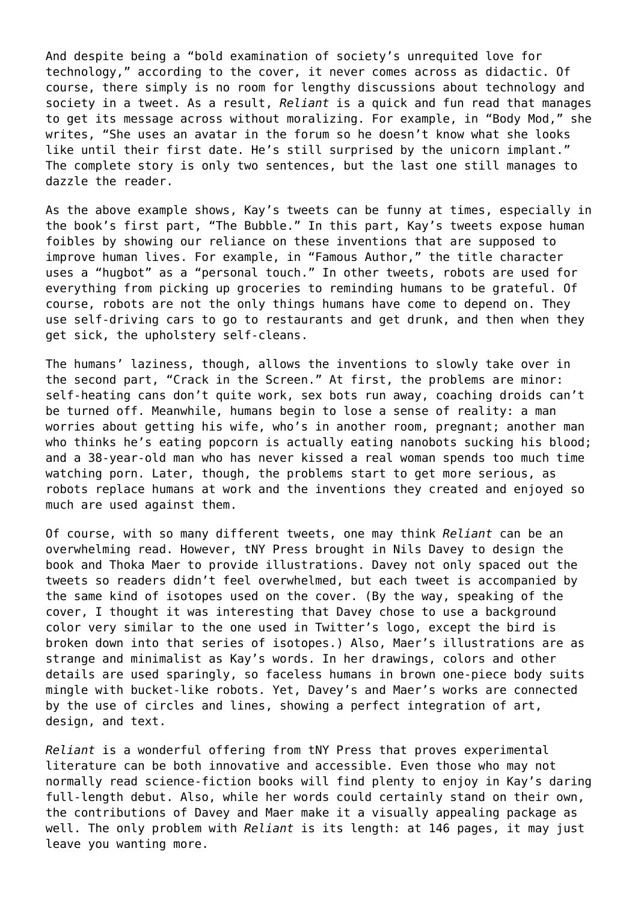And despite being a "bold examination of society's unrequited love for technology," according to the cover, it never comes across as didactic. Of course, there simply is no room for lengthy discussions about technology and society in a tweet. As a result, *Reliant* is a quick and fun read that manages to get its message across without moralizing. For example, in "Body Mod," she writes, "She uses an avatar in the forum so he doesn't know what she looks like until their first date. He's still surprised by the unicorn implant." The complete story is only two sentences, but the last one still manages to dazzle the reader.

As the above example shows, Kay's tweets can be funny at times, especially in the book's first part, "The Bubble." In this part, Kay's tweets expose human foibles by showing our reliance on these inventions that are supposed to improve human lives. For example, in "Famous Author," the title character uses a "hugbot" as a "personal touch." In other tweets, robots are used for everything from picking up groceries to reminding humans to be grateful. Of course, robots are not the only things humans have come to depend on. They use self-driving cars to go to restaurants and get drunk, and then when they get sick, the upholstery self-cleans.

The humans' laziness, though, allows the inventions to slowly take over in the second part, "Crack in the Screen." At first, the problems are minor: self-heating cans don't quite work, sex bots run away, coaching droids can't be turned off. Meanwhile, humans begin to lose a sense of reality: a man worries about getting his wife, who's in another room, pregnant; another man who thinks he's eating popcorn is actually eating nanobots sucking his blood; and a 38-year-old man who has never kissed a real woman spends too much time watching porn. Later, though, the problems start to get more serious, as robots replace humans at work and the inventions they created and enjoyed so much are used against them.

Of course, with so many different tweets, one may think *Reliant* can be an overwhelming read. However, tNY Press brought in Nils Davey to design the book and Thoka Maer to provide illustrations. Davey not only spaced out the tweets so readers didn't feel overwhelmed, but each tweet is accompanied by the same kind of isotopes used on the cover. (By the way, speaking of the cover, I thought it was interesting that Davey chose to use a background color very similar to the one used in Twitter's logo, except the bird is broken down into that series of isotopes.) Also, Maer's illustrations are as strange and minimalist as Kay's words. In her drawings, colors and other details are used sparingly, so faceless humans in brown one-piece body suits mingle with bucket-like robots. Yet, Davey's and Maer's works are connected by the use of circles and lines, showing a perfect integration of art, design, and text.

*Reliant* is a wonderful offering from tNY Press that proves experimental literature can be both innovative and accessible. Even those who may not normally read science-fiction books will find plenty to enjoy in Kay's daring full-length debut. Also, while her words could certainly stand on their own, the contributions of Davey and Maer make it a visually appealing package as well. The only problem with *Reliant* is its length: at 146 pages, it may just leave you wanting more.